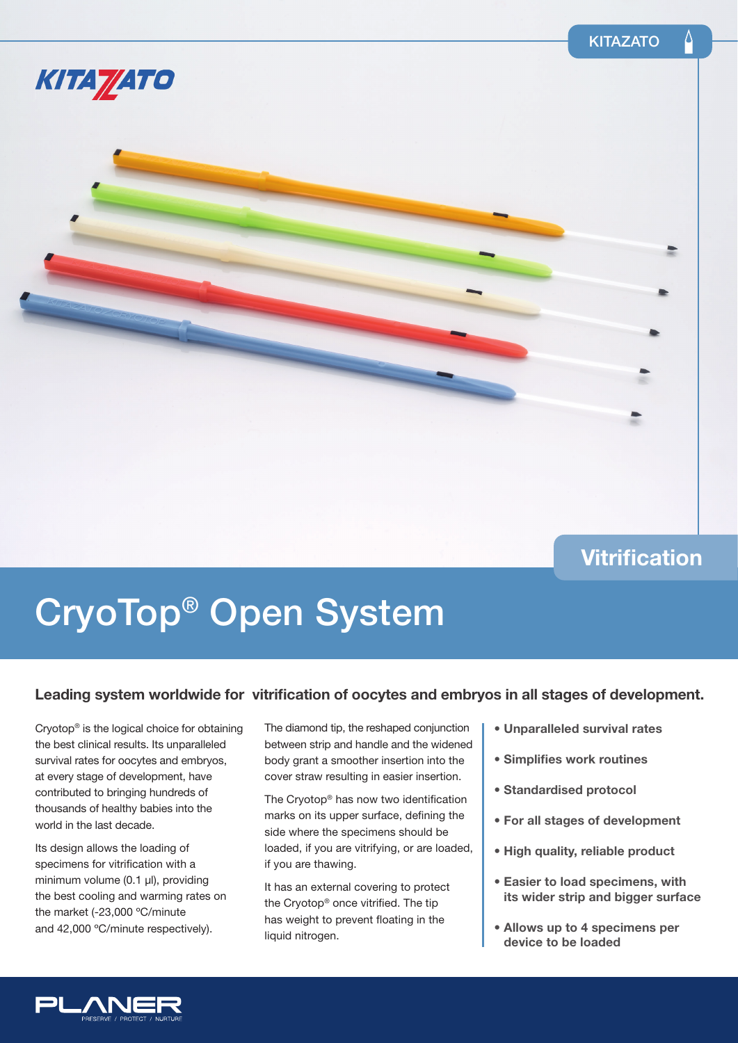

### **Vitrification**

# CryoTop® Open System

### Leading system worldwide for vitrification of oocytes and embryos in all stages of development.

Cryotop® is the logical choice for obtaining the best clinical results. Its unparalleled survival rates for oocytes and embryos, at every stage of development, have contributed to bringing hundreds of thousands of healthy babies into the world in the last decade.

Its design allows the loading of specimens for vitrification with a minimum volume (0.1 µl), providing the best cooling and warming rates on the market (-23,000 ºC/minute and 42,000 °C/minute respectively).

The diamond tip, the reshaped conjunction between strip and handle and the widened body grant a smoother insertion into the cover straw resulting in easier insertion.

The Cryotop<sup>®</sup> has now two identification marks on its upper surface, defining the side where the specimens should be loaded, if you are vitrifying, or are loaded, if you are thawing.

It has an external covering to protect the Cryotop® once vitrified. The tip has weight to prevent floating in the liquid nitrogen.

- **Unparalleled survival rates**
- **Simplifies work routines**
- **Standardised protocol**
- **For all stages of development**
- **High quality, reliable product**
- **Easier to load specimens, with its wider strip and bigger surface**
- **Allows up to 4 specimens per device to be loaded**